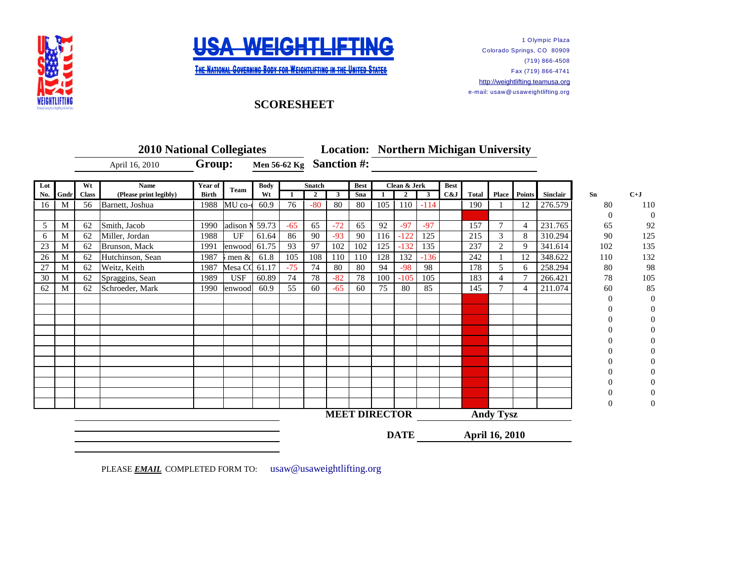



THE NATIONAL GOVERNING BODY FOR WEIGHTLIFTING IN THE UNITED STATES

## **SCORESHEET**

**2010 National Collegiates <b>No. 2010 National Collegiates No. 2010 National Collegiates No. 2010 N** Group: Men 56-62 Kg Sanction #: **Lot Wt Name Year of Body Best Clean & Jerk Best** No. Gndr | Class | (Please print legibly) | Birth | Comm | Wt | 1 | 2 | 3 | Sna | 1 | 2 | 3 | C&J | Total | Place | Points | Sinclair | Sn | C+J 16 | M | 56 | Barnett, Joshua | 1988 | MU co-e 60.9 | 76 | -80 | 80 | 80 | 105 | 110 | -114 | 190 | 1 | 12 | 276.579 | 80 | 100 0 0 0 5 M 62 Smith, Jacob 1990 adison N 59.73 -65 65 -72 65 92 -97 -97 157 7 4 231.765 65 92 6 M 62 Miller, Jordan 1988 UF 61.64 86 90 -93 90 116 -122 125 215 3 8 310.294 90 125 23 M 62 Brunson, Mack 1991 enwood 61.75 93 97 102 102 125 -132 135 237 2 9 341.614 102 135 26 M 62 Hutchinson, Sean 1987 LSUS men & co-ed 61.8 105 108 110 110 128 132 -136 242 1 12 348.622 110 132 27 | M | 62 | Weitz, Keith | 1987 | Mesa CC 61.17 | -75 | 74 | 80 | 80 | 94 | -98 | 98 | | 178 | 5 | 6 | 258.294 | 80 98 30 M 62 Spraggins, Sean 1989 USF 60.89 74 78 -82 78 100 -105 105 183 4 7 266.421 78 105 62 M 62 Schroeder, Mark 1990 enwood 60.9 55 60 -65 60 75 80 85 145 7 4 211.074 60 85 0 0 0 0 0 0 0 0 0 0 0 0 0 0 0 0 0 0 0 0 0 0 0 0 0 0 0 0 0 0 0 0 0 **MEET DIRECTOR DATE** Team **Body** Snatch<br>Wt 1 2 April 16, 2010 **April 16, 2010 Andy Tysz**

1 Olympic Plaza

(719) 866-4508 Fax (719) 866-4741

Colorado Springs, CO 80909

[http://](http://weightlifting.teamusa.org/)weightlifting.teamusa.org e-mail: usaw@ usaweightlifting.org

PLEASE **EMAIL** COMPLETED FORM TO: usaw@usaweightlifting.org